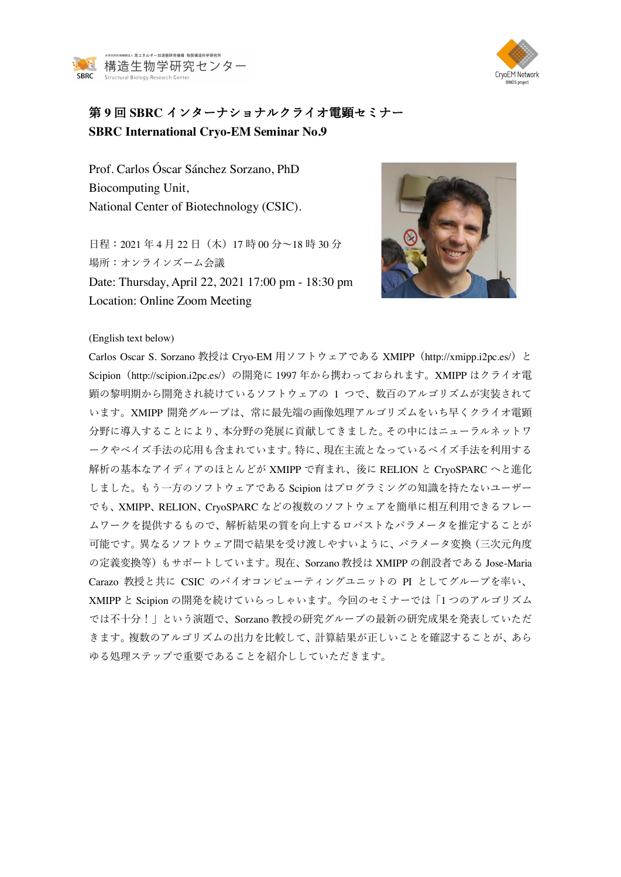



## 第 **9** 回 **SBRC** インターナショナルクライオ電顕セミナー **SBRC International Cryo-EM Seminar No.9**

Prof. Carlos Óscar Sánchez Sorzano, PhD Biocomputing Unit, National Center of Biotechnology (CSIC).

日程: 2021年4月22日 (木) 17 時 00 分~18 時 30 分 場所:オンラインズーム会議 Date: Thursday, April 22, 2021 17:00 pm - 18:30 pm Location: Online Zoom Meeting



## (English text below)

Carlos Oscar S. Sorzano 教授は Cryo-EM 用ソフトウェアである XMIPP (http://xmipp.i2pc.es/) と Scipion(http://scipion.i2pc.es/)の開発に 1997 年から携わっておられます。XMIPP はクライオ電 顕の黎明期から開発され続けているソフトウェアの 1 つで、数百のアルゴリズムが実装されて います。XMIPP 開発グループは、常に最先端の画像処理アルゴリズムをいち早くクライオ電顕 分野に導⼊することにより、本分野の発展に貢献してきました。その中にはニューラルネットワ ークやベイズ手法の応用も含まれています。特に、現在主流となっているベイズ手法を利用する 解析の基本なアイディアのほとんどが XMIPP で育まれ、後に RELION と CryoSPARC へと進化 しました。もう一方のソフトウェアである Scipion はプログラミングの知識を持たないユーザー でも、XMIPP、RELION、CryoSPARC などの複数のソフトウェアを簡単に相互利用できるフレー ムワークを提供するもので、解析結果の質を向上するロバストなパラメータを推定することが 可能です。異なるソフトウェア間で結果を受け渡しやすいように、パラメータ変換(三次元角度 の定義変換等)もサポートしています。現在、Sorzano 教授は XMIPP の創設者である Jose-Maria Carazo 教授と共に CSIC のバイオコンピューティングユニットの PI としてグループを率い、 XMIPP と Scipion の開発を続けていらっしゃいます。今回のセミナーでは「1 つのアルゴリズム では不⼗分!」という演題で、Sorzano 教授の研究グループの最新の研究成果を発表していただ きます。複数のアルゴリズムの出力を比較して、計算結果が正しいことを確認することが、あら ゆる処理ステップで重要であることを紹介ししていただきます。